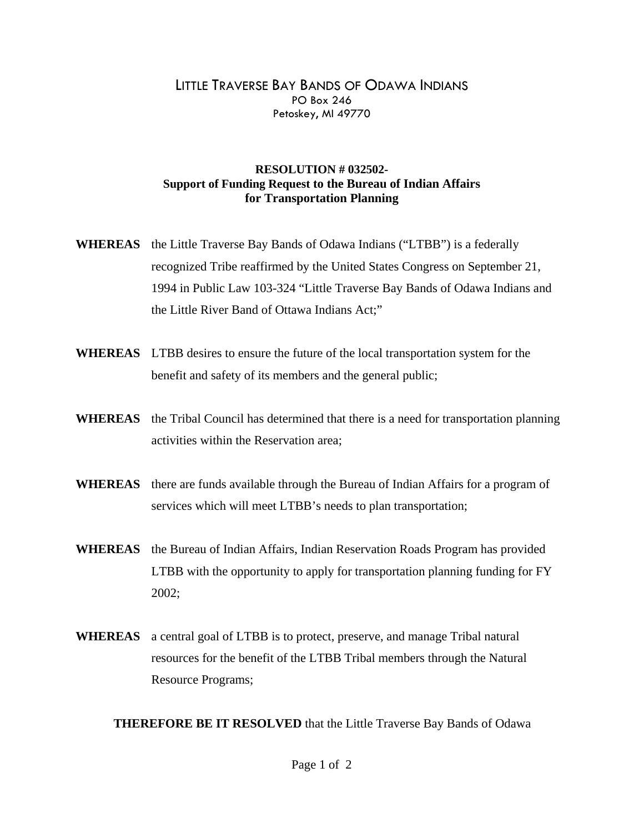## LITTLE TRAVERSE BAY BANDS OF ODAWA INDIANS PO Box 246 Petoskey, MI 49770

## **RESOLUTION # 032502- Support of Funding Request to the Bureau of Indian Affairs for Transportation Planning**

- **WHEREAS** the Little Traverse Bay Bands of Odawa Indians ("LTBB") is a federally recognized Tribe reaffirmed by the United States Congress on September 21, 1994 in Public Law 103-324 "Little Traverse Bay Bands of Odawa Indians and the Little River Band of Ottawa Indians Act;"
- **WHEREAS** LTBB desires to ensure the future of the local transportation system for the benefit and safety of its members and the general public;
- **WHEREAS** the Tribal Council has determined that there is a need for transportation planning activities within the Reservation area;
- **WHEREAS** there are funds available through the Bureau of Indian Affairs for a program of services which will meet LTBB's needs to plan transportation;
- **WHEREAS** the Bureau of Indian Affairs, Indian Reservation Roads Program has provided LTBB with the opportunity to apply for transportation planning funding for FY 2002;
- **WHEREAS** a central goal of LTBB is to protect, preserve, and manage Tribal natural resources for the benefit of the LTBB Tribal members through the Natural Resource Programs;

**THEREFORE BE IT RESOLVED** that the Little Traverse Bay Bands of Odawa